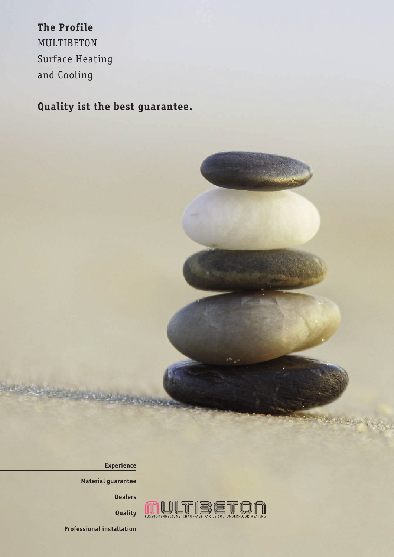The Profile **The Profile** MULTIBETON Surface Heating and Cooling

**Quality ist the best guarantee.**



**Experience**

**Material guarantee**

**Dealers**

**Quality**

**Professional installation**